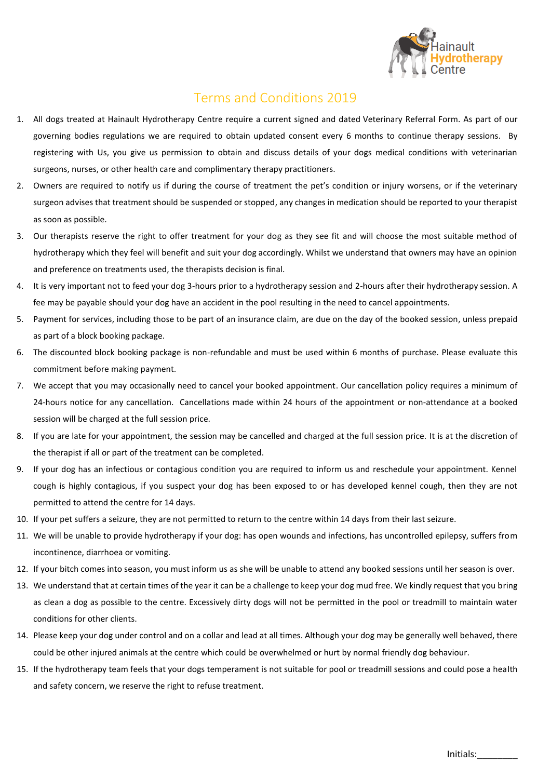

## Terms and Conditions 2019

- 1. All dogs treated at Hainault Hydrotherapy Centre require a current signed and dated [Veterinary Referral Form.](http://k9hydroservices.co.uk/docs/K9HS-Form-AW.pdf) As part of our governing bodies regulations we are required to obtain updated consent every 6 months to continue therapy sessions. By registering with Us, you give us permission to obtain and discuss details of your dogs medical conditions with veterinarian surgeons, nurses, or other health care and complimentary therapy practitioners.
- 2. Owners are required to notify us if during the course of treatment the pet's condition or injury worsens, or if the veterinary surgeon advises that treatment should be suspended or stopped, any changes in medication should be reported to your therapist as soon as possible.
- 3. Our therapists reserve the right to offer treatment for your dog as they see fit and will choose the most suitable method of hydrotherapy which they feel will benefit and suit your dog accordingly. Whilst we understand that owners may have an opinion and preference on treatments used, the therapists decision is final.
- 4. It is very important not to feed your dog 3-hours prior to a hydrotherapy session and 2-hours after their hydrotherapy session. A fee may be payable should your dog have an accident in the pool resulting in the need to cancel appointments.
- 5. Payment for services, including those to be part of an insurance claim, are due on the day of the booked session, unless prepaid as part of a block booking package.
- 6. The discounted block booking package is non-refundable and must be used within 6 months of purchase. Please evaluate this commitment before making payment.
- 7. We accept that you may occasionally need to cancel your booked appointment. Our cancellation policy requires a minimum of 24-hours notice for any cancellation. Cancellations made within 24 hours of the appointment or non-attendance at a booked session will be charged at the full session price.
- 8. If you are late for your appointment, the session may be cancelled and charged at the full session price. It is at the discretion of the therapist if all or part of the treatment can be completed.
- 9. If your dog has an infectious or contagious condition you are required to inform us and reschedule your appointment. Kennel cough is highly contagious, if you suspect your dog has been exposed to or has developed kennel cough, then they are not permitted to attend the centre for 14 days.
- 10. If your pet suffers a seizure, they are not permitted to return to the centre within 14 days from their last seizure.
- 11. We will be unable to provide hydrotherapy if your dog: has open wounds and infections, has uncontrolled epilepsy, suffers from incontinence, diarrhoea or vomiting.
- 12. If your bitch comes into season, you must inform us as she will be unable to attend any booked sessions until her season is over.
- 13. We understand that at certain times of the year it can be a challenge to keep your dog mud free. We kindly request that you bring as clean a dog as possible to the centre. Excessively dirty dogs will not be permitted in the pool or treadmill to maintain water conditions for other clients.
- 14. Please keep your dog under control and on a collar and lead at all times. Although your dog may be generally well behaved, there could be other injured animals at the centre which could be overwhelmed or hurt by normal friendly dog behaviour.
- 15. If the hydrotherapy team feels that your dogs temperament is not suitable for pool or treadmill sessions and could pose a health and safety concern, we reserve the right to refuse treatment.

Initials:\_\_\_\_\_\_\_\_